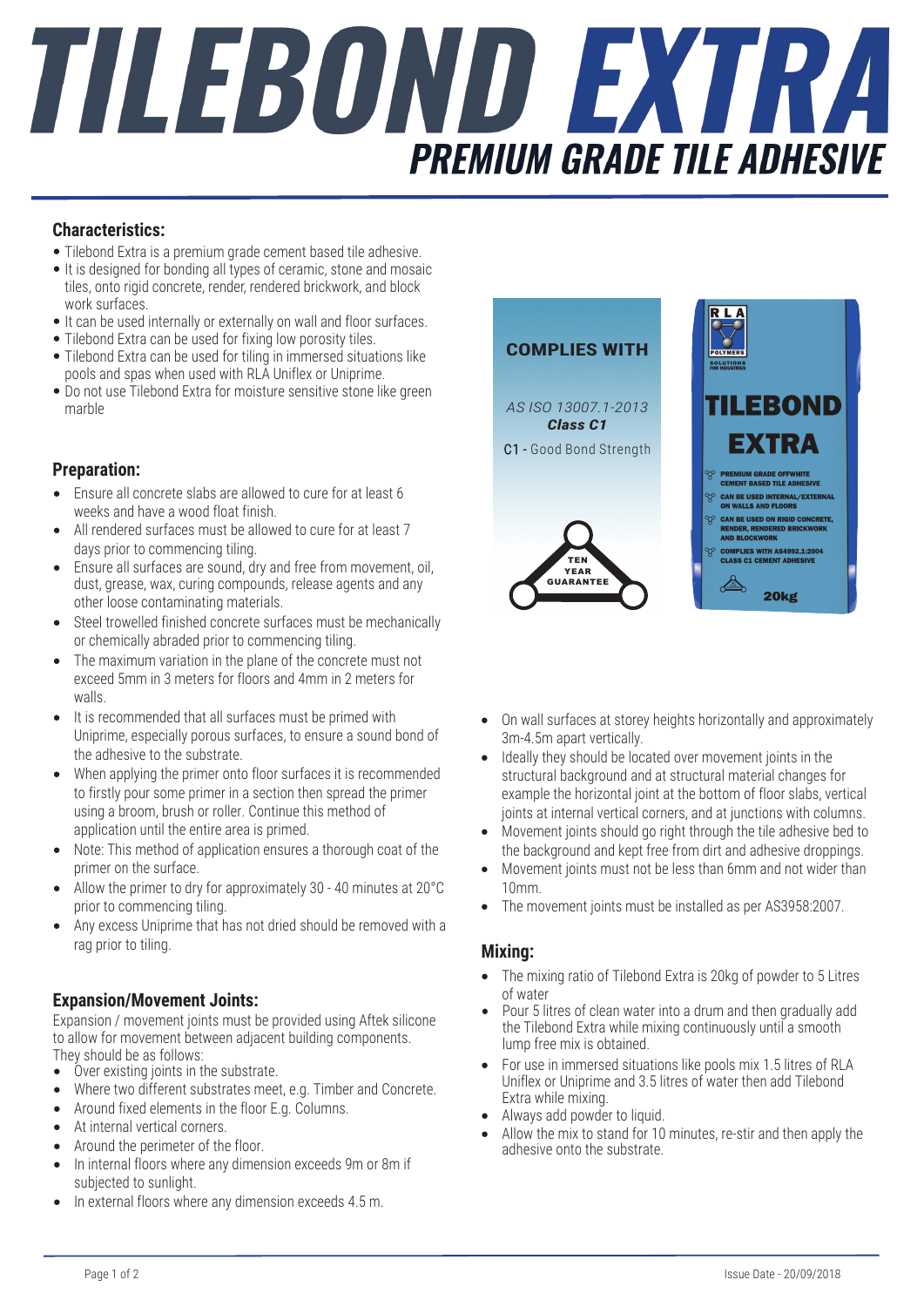# TILEBOND EXTRA **PREMIUM GRADE TILE ADHESIVE**

#### **Characteristics:**

- Tilebond Extra is a premium grade cement based tile adhesive.
- It is designed for bonding all types of ceramic, stone and mosaic tiles, onto rigid concrete, render, rendered brickwork, and block work surfaces.
- It can be used internally or externally on wall and floor surfaces.
- Tilebond Extra can be used for fixing low porosity tiles.
- Tilebond Extra can be used for tiling in immersed situations like pools and spas when used with RLA Uniflex or Uniprime.
- Do not use Tilebond Extra for moisture sensitive stone like green marble

#### **Preparation:**

- Ensure all concrete slabs are allowed to cure for at least 6 weeks and have a wood float finish.
- All rendered surfaces must be allowed to cure for at least 7 days prior to commencing tiling.
- Ensure all surfaces are sound, dry and free from movement, oil, dust, grease, wax, curing compounds, release agents and any other loose contaminating materials.
- Steel trowelled finished concrete surfaces must be mechanically or chemically abraded prior to commencing tiling.
- The maximum variation in the plane of the concrete must not exceed 5mm in 3 meters for floors and 4mm in 2 meters for walls.
- It is recommended that all surfaces must be primed with Uniprime, especially porous surfaces, to ensure a sound bond of the adhesive to the substrate.
- When applying the primer onto floor surfaces it is recommended to firstly pour some primer in a section then spread the primer using a broom, brush or roller. Continue this method of application until the entire area is primed.
- Note: This method of application ensures a thorough coat of the primer on the surface.
- Allow the primer to dry for approximately 30 40 minutes at 20°C prior to commencing tiling.
- Any excess Uniprime that has not dried should be removed with a rag prior to tiling.

#### **Expansion/Movement Joints:**

Expansion / movement joints must be provided using Aftek silicone to allow for movement between adjacent building components. They should be as follows:

- Over existing joints in the substrate.
- Where two different substrates meet, e.g. Timber and Concrete.
- Around fixed elements in the floor E.g. Columns.
- At internal vertical corners.
- Around the perimeter of the floor.
- In internal floors where any dimension exceeds 9m or 8m if subjected to sunlight.
- In external floors where any dimension exceeds 4.5 m.



- On wall surfaces at storey heights horizontally and approximately 3m-4.5m apart vertically.
- Ideally they should be located over movement joints in the structural background and at structural material changes for example the horizontal joint at the bottom of floor slabs, vertical joints at internal vertical corners, and at junctions with columns.
- Movement joints should go right through the tile adhesive bed to the background and kept free from dirt and adhesive droppings.
- Movement joints must not be less than 6mm and not wider than 10mm.
- The movement joints must be installed as per AS3958:2007.

#### **Mixing:**

- The mixing ratio of Tilebond Extra is 20kg of powder to 5 Litres of water
- Pour 5 litres of clean water into a drum and then gradually add the Tilebond Extra while mixing continuously until a smooth lump free mix is obtained.
- For use in immersed situations like pools mix 1.5 litres of RLA Uniflex or Uniprime and 3.5 litres of water then add Tilebond Extra while mixing.
- Always add powder to liquid.
- Allow the mix to stand for 10 minutes, re-stir and then apply the adhesive onto the substrate.